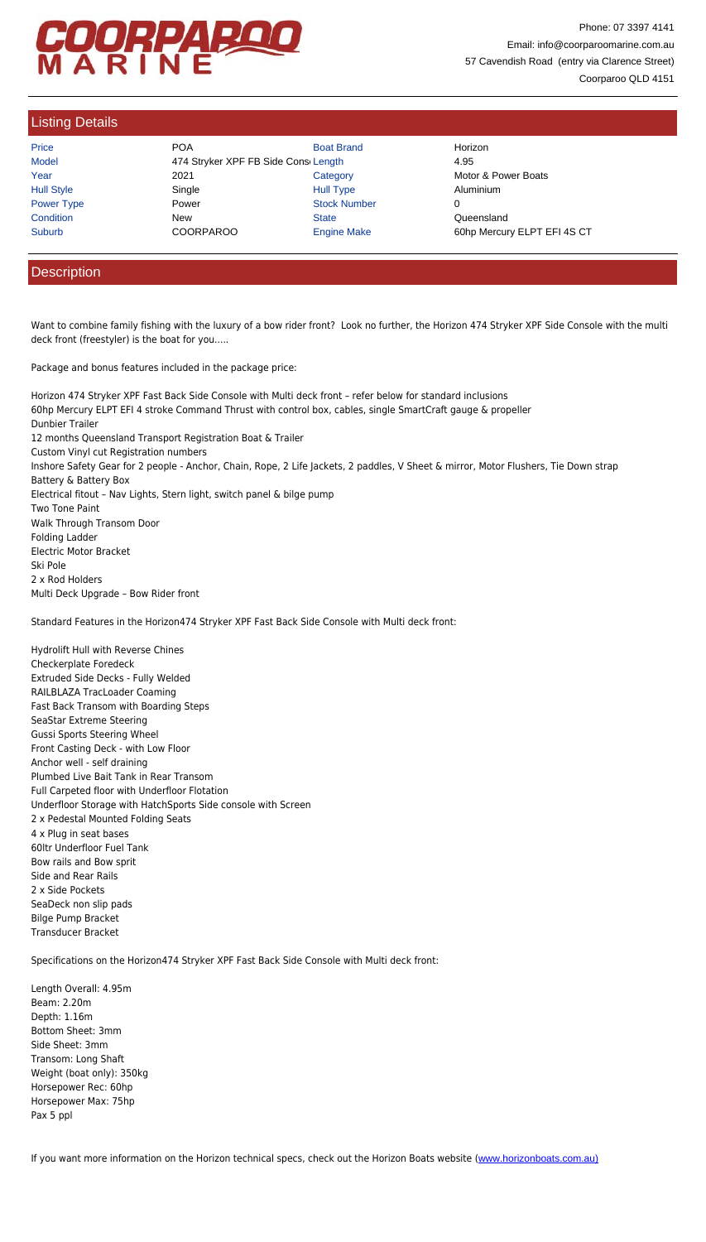Custom Vinyl cut Registration numbers Inshore Safety Gear for 2 people - Anchor, Chain, Rope, 2 Life Jackets, 2 paddles, V Sheet & mirror, Motor Flushers, Tie Down stra Battery & Battery Box Electrical fitout – Nav Lights, Stern light, switch panel & bilge pump Two Tone Paint Walk Through Transom Door Folding Ladder Electric Motor Bracket Ski Pole 2 x Rod Holders Multi Deck Upgrade – Bow Rider front

Standard Features in the Horizon474 Stryker XPF Fast Back Side Console with Multi deck front:

Hydrolift Hull with Reverse Chines Checkerplate Foredeck Extruded Side Decks - Fully Welded RAILBLAZA TracLoader Coaming Fast Back Transom with Boarding Steps SeaStar Extreme Steering Gussi Sports Steering Wheel Front Casting Deck - with Low Floor Anchor well - self draining Plumbed Live Bait Tank in Rear Transom Full Carpeted floor with Underfloor Flotation Underfloor Storage with HatchSports Side console with Screen 2 x Pedestal Mounted Folding Seats 4 x Plug in seat bases 60ltr Underfloor Fuel Tank Bow rails and Bow sprit Side and Rear Rails 2 x Side Pockets SeaDeck non slip pads Bilge Pump Bracket Transducer Bracket

Specifications on the Horizon474 Stryker XPF Fast Back Side Console with Multi deck front:

Length Overall: 4.95m Beam: 2.20m Depth: 1.16m Bottom Sheet: 3mm Side Sheet: 3mm Transom: Long Shaft Weight (boat only): 350kg Horsepower Rec: 60hp Horsepower Max: 75hp Pax 5 ppl

If you want more information on the Horizon technical specs, check out the Horizon Boats website (www.horizonboats.com.au)